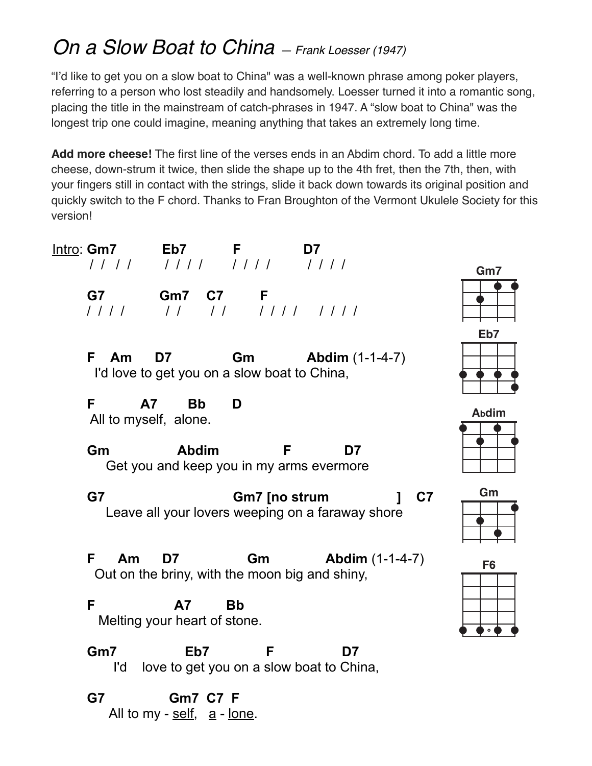## *On a Slow Boat to China — Frank Loesser (1947)*

"I'd like to get you on a slow boat to China" was a well-known phrase among poker players, referring to a person who lost steadily and handsomely. Loesser turned it into a romantic song, placing the title in the mainstream of catch-phrases in 1947. A "slow boat to China" was the longest trip one could imagine, meaning anything that takes an extremely long time.

**Add more cheese!** The first line of the verses ends in an Abdim chord. To add a little more cheese, down-strum it twice, then slide the shape up to the 4th fret, then the 7th, then, with your fingers still in contact with the strings, slide it back down towards its original position and quickly switch to the F chord. Thanks to Fran Broughton of the Vermont Ukulele Society for this version!

Intro: **Gm7 Eb7 F D7** / / / / / / / / / / / / / / / /  **G7 Gm7 C7 F** / / / / / / / / / / / / / / / / **F Am D7 Gm Abdim** (1-1-4-7) I'd love to get you on a slow boat to China, **F A7 Bb D** All to myself, alone. **Gm Abdim F D7** Get you and keep you in my arms evermore **G7 Gm7 [no strum ] C7** Leave all your lovers weeping on a faraway shore **F Am D7 Gm Abdim** (1-1-4-7) Out on the briny, with the moon big and shiny, **F A7 Bb** Melting your heart of stone.

**Gm7 Eb7 F D7** I'd love to get you on a slow boat to China,

**G7 Gm7 C7 F** All to my -  $\frac{\text{self}}{\text{self}}$ , a - lone.



| í |  |  |
|---|--|--|
|   |  |  |
|   |  |  |

| <b>Abdim</b> |  |  |  |  |  |  |  |
|--------------|--|--|--|--|--|--|--|
|              |  |  |  |  |  |  |  |
|              |  |  |  |  |  |  |  |
|              |  |  |  |  |  |  |  |
|              |  |  |  |  |  |  |  |